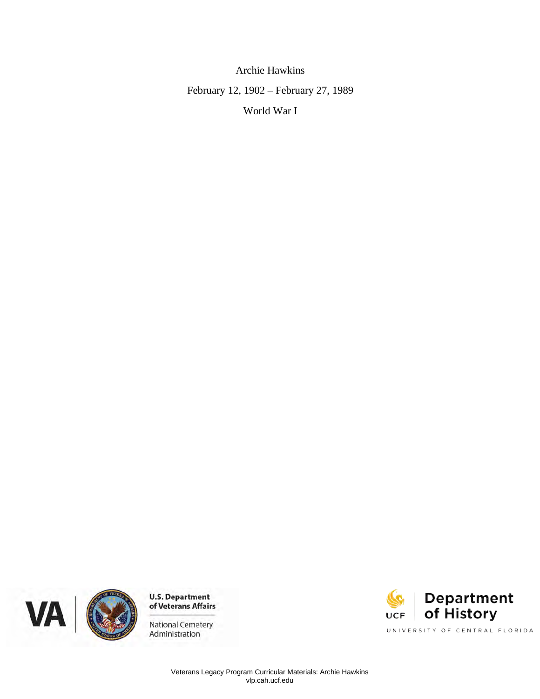**Archie Hawkins** February 12, 1902 - February 27, 1989 World War I





**U.S. Department<br>of Veterans Affairs** 

**National Cemetery** Administration

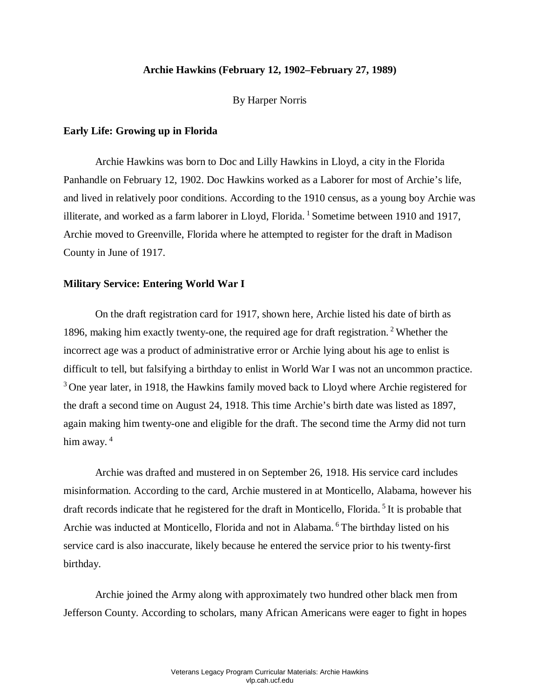## **Archie Hawkins (February 12, 1902–February 27, 1989)**

By Harper Norris

### **Early Life: Growing up in Florida**

 Archie Hawkins was born to Doc and Lilly Hawkins in Lloyd, a city in the Florida Panhandle on February 12, 1902. Doc Hawkins worked as a Laborer for most of Archie's life, and lived in relatively poor conditions. According to the 1910 census, as a young boy Archie was Archie moved to Greenville, Florida where he attempted to register for the draft in Madison County in June of 1917. illiterate, and worked as a farm laborer in Lloyd, Florida. <sup>1</sup> Sometime between 1910 and 1917,

# **Military Service: Entering World War I**

 incorrect age was a product of administrative error or Archie lying about his age to enlist is difficult to tell, but falsifying a birthday to enlist in World War I was not an uncommon practice.  $3$  One year later, in 1918, the Hawkins family moved back to Lloyd where Archie registered for again making him twenty-one and eligible for the draft. The second time the Army did not turn On the draft registration card for 1917, shown here, Archie listed his date of birth as 1896, making him exactly twenty-one, the required age for draft registration. 2 Whether the the draft a second time on August 24, 1918. This time Archie's birth date was listed as 1897, him away.<sup>4</sup>

 Archie was drafted and mustered in on September 26, 1918. His service card includes Archie was inducted at Monticello, Florida and not in Alabama. <sup>6</sup> The birthday listed on his birthday. misinformation. According to the card, Archie mustered in at Monticello, Alabama, however his draft records indicate that he registered for the draft in Monticello, Florida. 5 It is probable that service card is also inaccurate, likely because he entered the service prior to his twenty-first

 birthday. Archie joined the Army along with approximately two hundred other black men from Jefferson County. According to scholars, many African Americans were eager to fight in hopes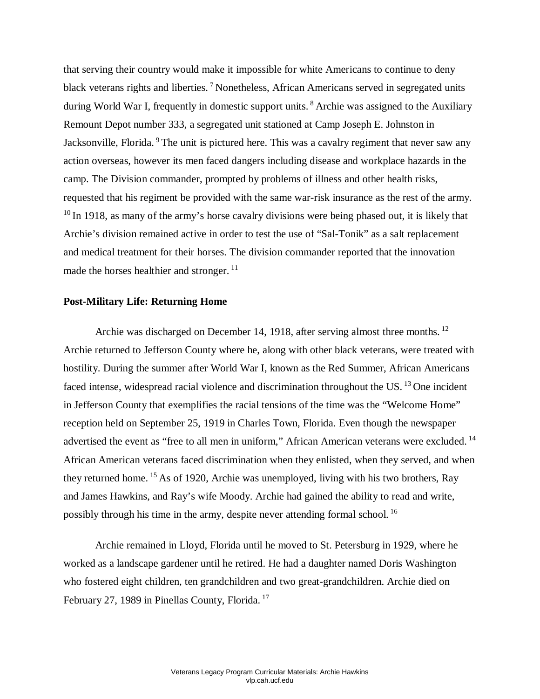that serving their country would make it impossible for white Americans to continue to deny action overseas, however its men faced dangers including disease and workplace hazards in the  $10$  In 1918, as many of the army's horse cavalry divisions were being phased out, it is likely that Archie's division remained active in order to test the use of "Sal-Tonik" as a salt replacement and medical treatment for their horses. The division commander reported that the innovation black veterans rights and liberties.<sup>7</sup> Nonetheless, African Americans served in segregated units during World War I, frequently in domestic support units. <sup>8</sup> Archie was assigned to the Auxiliary Remount Depot number 333, a segregated unit stationed at Camp Joseph E. Johnston in Jacksonville, Florida. <sup>9</sup> The unit is pictured here. This was a cavalry regiment that never saw any camp. The Division commander, prompted by problems of illness and other health risks, requested that his regiment be provided with the same war-risk insurance as the rest of the army. made the horses healthier and stronger.<sup>11</sup>

#### **Post-Military Life: Returning Home**

 hostility. During the summer after World War I, known as the Red Summer, African Americans advertised the event as "free to all men in uniform," African American veterans were excluded.<sup>14</sup> African American veterans faced discrimination when they enlisted, when they served, and when possibly through his time in the army, despite never attending formal school.<sup>16</sup> Archie was discharged on December 14, 1918, after serving almost three months. <sup>12</sup> Archie returned to Jefferson County where he, along with other black veterans, were treated with faced intense, widespread racial violence and discrimination throughout the US.<sup>13</sup> One incident in Jefferson County that exemplifies the racial tensions of the time was the "Welcome Home" reception held on September 25, 1919 in Charles Town, Florida. Even though the newspaper they returned home. 15 As of 1920, Archie was unemployed, living with his two brothers, Ray and James Hawkins, and Ray's wife Moody. Archie had gained the ability to read and write,

 Archie remained in Lloyd, Florida until he moved to St. Petersburg in 1929, where he worked as a landscape gardener until he retired. He had a daughter named Doris Washington who fostered eight children, ten grandchildren and two great-grandchildren. Archie died on February 27, 1989 in Pinellas County, Florida. 17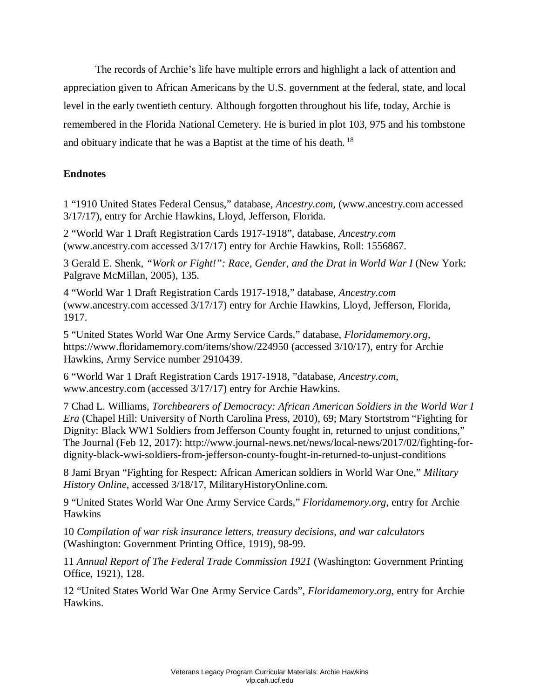The records of Archie's life have multiple errors and highlight a lack of attention and appreciation given to African Americans by the U.S. government at the federal, state, and local level in the early twentieth century. Although forgotten throughout his life, today, Archie is remembered in the Florida National Cemetery. He is buried in plot 103, 975 and his tombstone and obituary indicate that he was a Baptist at the time of his death.<sup>18</sup>

# **Endnotes**

1 "1910 United States Federal Census," database, *Ancestry.com*, (www.ancestry.com accessed 3/17/17), entry for Archie Hawkins, Lloyd, Jefferson, Florida.

2 "World War 1 Draft Registration Cards 1917-1918", database, *Ancestry.com*  (www.ancestry.com accessed 3/17/17) entry for Archie Hawkins, Roll: 1556867.

3 Gerald E. Shenk, "Work or Fight!": Race, Gender, and the Drat in World War I (New York: Palgrave McMillan, 2005), 135.

4 "World War 1 Draft Registration Cards 1917-1918," database, *Ancestry.com*  (www.ancestry.com accessed 3/17/17) entry for Archie Hawkins, Lloyd, Jefferson, Florida, 1917.

 https://www.floridamemory.com/items/show/224950 (accessed 3/10/17), entry for Archie 5 "United States World War One Army Service Cards," database, *Floridamemory.org*, Hawkins, Army Service number 2910439.

6 "World War 1 Draft Registration Cards 1917-1918, "database, *Ancestry.com*, www.ancestry.com (accessed 3/17/17) entry for Archie Hawkins.

 *Era* (Chapel Hill: University of North Carolina Press, 2010), 69; Mary Stortstrom "Fighting for 7 Chad L. Williams, *Torchbearers of Democracy: African American Soldiers in the World War I*  Dignity: Black WW1 Soldiers from Jefferson County fought in, returned to unjust conditions," The Journal (Feb 12, 2017): http://www.journal-news.net/news/local-news/2017/02/fighting-fordignity-black-wwi-soldiers-from-jefferson-county-fought-in-returned-to-unjust-conditions

 8 Jami Bryan "Fighting for Respect: African American soldiers in World War One," *Military History Online*, accessed 3/18/17, MilitaryHistoryOnline.com.

9 "United States World War One Army Service Cards," *Floridamemory.org*, entry for Archie Hawkins

10 *Compilation of war risk insurance letters, treasury decisions, and war calculators*  (Washington: Government Printing Office, 1919), 98-99.

11 *Annual Report of The Federal Trade Commission 1921* (Washington: Government Printing Office, 1921), 128.

12 "United States World War One Army Service Cards", *Floridamemory.org*, entry for Archie Hawkins.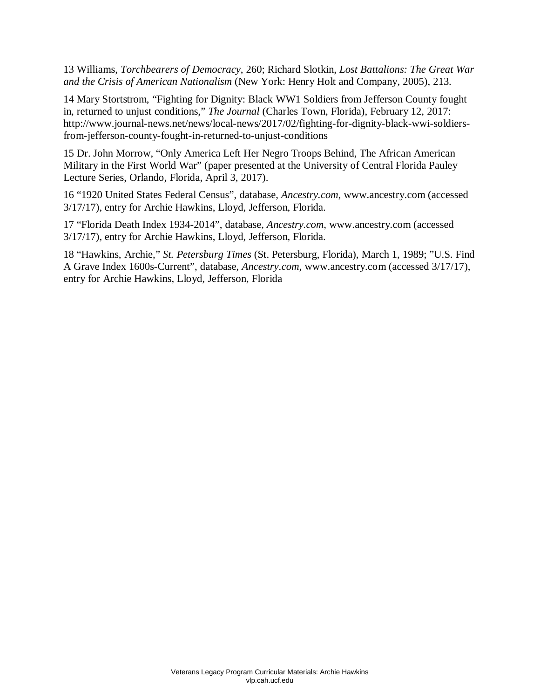13 Williams, *Torchbearers of Democracy*, 260; Richard Slotkin, *Lost Battalions: The Great War and the Crisis of American Nationalism* (New York: Henry Holt and Company, 2005), 213.

 14 Mary Stortstrom, "Fighting for Dignity: Black WW1 Soldiers from Jefferson County fought in, returned to unjust conditions," *The Journal* (Charles Town, Florida), February 12, 2017: http://www.journal-news.net/news/local-news/2017/02/fighting-for-dignity-black-wwi-soldiersfrom-jefferson-county-fought-in-returned-to-unjust-conditions

15 Dr. John Morrow, "Only America Left Her Negro Troops Behind, The African American Military in the First World War" (paper presented at the University of Central Florida Pauley Lecture Series, Orlando, Florida, April 3, 2017).

16 "1920 United States Federal Census", database, *Ancestry.com*, www.ancestry.com (accessed 3/17/17), entry for Archie Hawkins, Lloyd, Jefferson, Florida.

17 "Florida Death Index 1934-2014", database, *Ancestry.com*, www.ancestry.com (accessed 3/17/17), entry for Archie Hawkins, Lloyd, Jefferson, Florida.

18 "Hawkins, Archie," *St. Petersburg Times* (St. Petersburg, Florida), March 1, 1989; "U.S. Find A Grave Index 1600s-Current", database, *Ancestry.com*, www.ancestry.com (accessed 3/17/17), entry for Archie Hawkins, Lloyd, Jefferson, Florida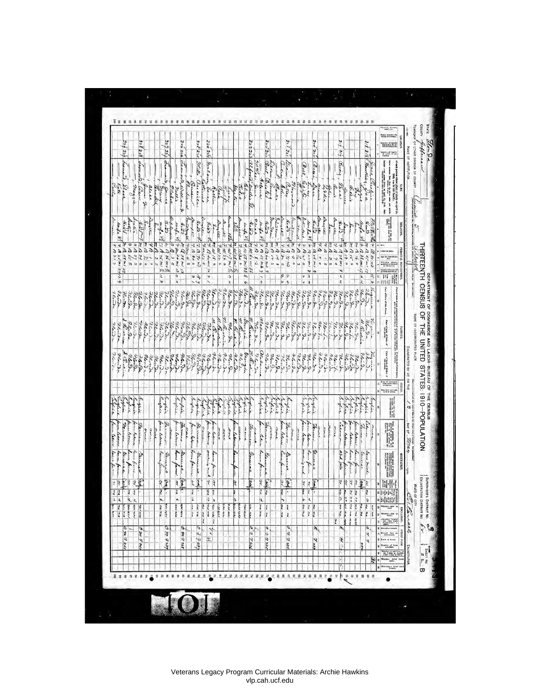| <b>BAFSIS</b><br>320<br>324329<br>$3 - 7.5 - 5$<br>327327<br>326 326<br>323213<br>بروتردو<br>$32^{7}/32$<br>219<br>324 324<br>$3/2$ $3/2$<br>o se<br>Leaver 2, Weltian &<br>Lewis<br>Francis Jours<br>Mills . au eile<br>Beech<br>ain,<br>Entering<br>mole Jan<br>Dain,<br>$\overline{G_{a\cdot\bm{a}}}\sim$<br>Hartling,<br>Oeran Bleinner<br>Bast Briskel<br>Lonon)<br>Cina<br>Beel.<br>ne lawline<br>Helena<br>÷,<br>nolone.<br>Line 1<br>Eleria<br>Olermond<br>Jan<br>Philadelph<br>Buen<br>$\theta_{start}$<br>attences<br>$a^2$<br>Clarke<br>mann<br>inter<br>Slick<br>5.4.2<br>beller<br>anni<br>alice<br>you.<br>achie<br>Mahae<br>the trees<br>beech<br>$\frac{1}{2}$<br>Kallin<br>au<br>Someler<br>neli<br>Garage<br>١Ţ<br>Filip<br>$\rightarrow$<br>$\frac{1}{2}$<br>g<br>Lands<br>Bah Dunia<br>samper<br>Paraguai<br>$\frac{\partial}{\partial x + \frac{1}{2}} = \partial x$ .<br>and ello<br>Bunker<br>bottil<br>Done<br>$rac{3}{32H}$<br>Bungan.<br>$\frac{\partial}{\partial t} \frac{1}{\partial \xi} \frac{1}{\partial \xi}$<br>Ac. 15<br>Angles<br>dexiler.<br>ncie<br>Hetta<br>and<br>Aughter<br>minic<br>$t_{\rm L}$ th<br>$\frac{d}{d\omega}$<br><b>V.t.</b><br>$\Delta$ -165<br>$\frac{1}{2}$<br>unke vit<br>$\pi - 7$<br>$\frac{4x+2}{x+2}$<br>$\frac{1}{x+2}$<br>$\frac{1}{x+2}$<br>$\frac{1}{x+2}$<br>$\frac{1}{x+2}$<br>$\frac{d\mu}{d}$ of 2<br>unke of<br>$\frac{1}{4L} \frac{1}{2L} \sum_{n=0}^{L} \frac{1}{n!} \frac{1}{2\pi} \sum_{n=0}^{L} \frac{1}{2n} \sum_{n=0}^{L} \frac{1}{n!} \frac{1}{n!}$<br>$\begin{array}{l l l} \hline \mathbf{z}^* & \mathbf{z}^* & \mathbf{z}^* \\ \hline \mathbf{z}^* & \mathbf{z}^* & \mathbf{z}^* & \mathbf{z}^* & \mathbf{z}^* \\ \hline \mathbf{z}^* & \mathbf{z}^* & \mathbf{z}^* & \mathbf{z}^* & \mathbf{z}^* \\ \hline \mathbf{z}^* & \mathbf{z}^* & \mathbf{z}^* & \mathbf{z}^* & \mathbf{z}^* \\ \hline \mathbf{z}^* & \mathbf{z}^* & \mathbf{z}^* & \mathbf{z$<br>with of<br>$\frac{1}{2}$ $\frac{1}{2}$ $\frac{1}{2}$ $\frac{1}{2}$ $\frac{1}{2}$ $\frac{1}{2}$ $\frac{1}{2}$ $\frac{1}{2}$ $\frac{1}{2}$ $\frac{1}{2}$ $\frac{1}{2}$ $\frac{1}{2}$ $\frac{1}{2}$ $\frac{1}{2}$ $\frac{1}{2}$ $\frac{1}{2}$ $\frac{1}{2}$ $\frac{1}{2}$ $\frac{1}{2}$ $\frac{1}{2}$ $\frac{1}{2}$ $\frac{1}{2}$<br>Le.<br>$\ddot{\cdot}$<br>s xi 0 ud<br>s ri b ud<br>iment of the<br>$\frac{1}{2}$<br>Maston<br>A Paula Di A<br>$3 \mu$ <sub>ww</sub> $\mu$ s<br>$\begin{array}{c}\n7\omega_{17}^{\prime}\omega_{17}^{\prime}\omega_{15}^{\prime}\n\\ \n7\omega_{26}^{\prime}\sin\frac{\omega_{16}^{\prime}}{\omega_{16}^{\prime}}\n\end{array}$<br>m Ulsemit<br>$\begin{array}{c} \n\begin{array}{c}\n\downarrow \\ \downarrow \\ \downarrow \\ \downarrow\n\end{array} & \text{if } \begin{array}{c} \frac{1}{2} & \frac{1}{2} & \frac{1}{2} \\ \downarrow & \frac{1}{2} & \frac{1}{2} & \frac{1}{2} \\ \downarrow & \frac{1}{2} & \frac{1}{2} & \frac{1}{2} & \frac{1}{2} \\ \downarrow & \frac{1}{2} & \frac{1}{2} & \frac{1}{2} & \frac{1}{2} & \frac{1}{2} \\ \downarrow & \frac{1}{2} & \frac{1}{2} & \frac{1}{2} & \frac{1}{2} & \$<br>$z \times y$<br>es la<br>m. P. 48 mi 27<br>$\begin{array}{l} \mathcal{L}_{\mathcal{A}} \\ \mathcal{L}_{\mathcal{B}} \\ \mathcal{L}_{\mathcal{B}} \\ \mathcal{L}_{\mathcal{B}} \\ \mathcal{L}_{\mathcal{B}} \\ \mathcal{L}_{\mathcal{B}} \\ \mathcal{L}_{\mathcal{B}} \\ \mathcal{L}_{\mathcal{B}} \\ \mathcal{L}_{\mathcal{B}} \\ \mathcal{L}_{\mathcal{B}} \\ \mathcal{L}_{\mathcal{B}} \\ \mathcal{L}_{\mathcal{B}} \\ \mathcal{L}_{\mathcal{B}} \\ \mathcal{L}_{\mathcal{B}} \\ \mathcal{L}_{\mathcal{B}} \\ \mathcal{L}_{\mathcal{B}} \\ \mathcal{L$<br>$U^{12}$<br>97 B 60 m3 9<br>$7.2\frac{9}{12}$<br>$rac{1}{2}$<br>$\frac{1}{2}$<br>$\frac{1}{2}$<br>$\frac{1}{2}$<br>$\frac{1}{2}$<br>$\frac{2}{6}$<br>$\frac{8}{6}$<br>$\frac{1}{6}$<br>$5 - 512$ 14<br>$\frac{2}{3}$<br>$u_{1}$ is the comparison<br>42<br>$\star$<br>a<br>9.841<br>$\frac{1}{2}$ in $\frac{1}{2}$<br>$Q$ 80 $\pi$<br>اله م<br>$\epsilon$<br>$ce - \lambda$<br>c<br>s<br>$\begin{array}{c} \infty \\ \infty \\ \infty \end{array}$<br>$\omega$<br>'s<br>$\epsilon$<br>h<br>n<br>u<br>$\mathfrak{c}_\mathsf{A}$<br>w<br>e.<br>ř<br>$\overline{\mathfrak{o}}$<br>83<br>h<br>D<br>$\overline{\phantom{a}}$<br>$\frac{1}{2}$<br>0<br>Ł<br>W<br>٢<br>¥<br>$\frac{1}{2}$<br>$\mathbf{u}$<br>$\overline{\phantom{0}}$<br>$\mathsf{o}$<br>$\mathsf{o}$<br>$\hat{\tau}$<br>$\ddot{\bm{r}}$<br>$\overline{\phantom{a}}$<br>t,<br>ť<br>$\bullet$<br>r<br>v<br>$\overline{\phantom{0}}$<br>$\frac{76}{36.3}$<br>Flore 8-<br>thora<br>Lenda<br>Florida<br>26.Sa<br>ne Da<br>Flor Da<br>36.00 36.00<br>new ga<br>Hercha<br>25.25<br>Flor &<br>26.8<br>storon<br>76.56<br>Hendra<br>$\frac{76}{760.96}$<br>3la Da<br>Henda<br>Henda<br>Flough<br>Flor da<br>Ten Da<br>76.92<br>$\mathcal{X}_{\mathbf{G}}$ $\mathcal{Y}_{\mathbf{G}}$<br>Zee de<br>Henda<br>76.50<br>$x_i, \Omega_k$<br>$\mathcal{H}_{\epsilon},\mathcal{P}_{\epsilon}$<br>7e9x<br>36.80<br>72.<br>Here da<br>Flore gr<br>flor <b>3</b> a<br>genida<br>n. E. scin<br>alekama<br>they year<br>namin<br>1. Barin<br>20.66<br>Konga<br>R. Cachin<br>M. G. w.<br>Zeichen<br>8 Charles<br>u ani<br>26.8<br>Acres R.<br>news<br>という<br>76.2<br>Reich<br>Blowder<br>76.90<br>$2$ land<br>$\mathcal{H}_{\alpha}$<br>genda<br>Henry<br>Flord-<br>70.9x<br>Flind.<br>non<br>326.32<br>326.32<br>326.32<br>220.9<br>Henda<br>26.90<br>$\mathcal{U}_{\alpha\beta\alpha}$<br>34.13<br>Hendon<br>26.2<br>32.<br>$\mathcal{U}_{\ell}$ , $\mathcal{E}_{\ell}$<br>36.50<br>$2\epsilon$ . $3$ -<br>Henry<br>$u_{\alpha}$<br>Flore<br>¥<br>acalon.<br>W. Rondon<br>Florida<br>Florid<br>news<br>76.5a<br>7lond<br>2long<br>728<br>$\ell$ can<br>78:00<br>though<br>76.5<br>$k_{\rm F}$<br>Re-Acch<br>Ac. A<br>70.3.<br>3c.S.<br>Pring<br>Florida<br>Hender<br>$2e_nS_n$<br>Henda<br>Florig<br><b>Haise</b><br>Haise<br>thong<br>Florish<br>nois<br>Rein<br>Flore<br>7.0.3.<br>12.9.<br>Flewing<br>semin<br>34.5<br>Hen Su<br>in.)<br>Eugene<br>Euglise<br>Infait<br>Bughel<br>moline<br>This<br>hopes<br>Eugene<br>Eugene<br>Sugar<br>Ņ<br>programe<br>Buffare<br>Ingia<br>megic<br>infin<br>Eugaie<br>motive<br>hughele<br>ayfile<br>marie<br>Inglack<br>English<br>mapier<br>angline<br>mitic<br>kiplich<br>$x^2 + y^2 = 1$<br>يتهابخ<br>فيهلطنط<br>$\frac{1}{2} \left( \frac{1}{2} \frac{1}{2} \frac{1}{2} \frac{1}{2} \frac{1}{2} \frac{1}{2} \frac{1}{2} \frac{1}{2} \frac{1}{2} \frac{1}{2} \frac{1}{2} \frac{1}{2} \frac{1}{2} \frac{1}{2} \frac{1}{2} \frac{1}{2} \frac{1}{2} \frac{1}{2} \frac{1}{2} \frac{1}{2} \frac{1}{2} \frac{1}{2} \frac{1}{2} \frac{1}{2} \frac{1}{2} \frac{1}{2} \frac{1}{2} \frac{1}{2} \frac{1}{2} \frac{1}{2}$<br>agent<br>optim<br><b>Secie</b><br>of it<br>Truck<br>ينبغ<br>farm labour<br>four labour<br>form laborer<br>form laborer<br><b>Comme</b><br>farm leken<br>fam ladon<br>form home form prove<br>Farmer<br>farmer labour<br>farm labour<br>$\mathcal{L}_{\text{old}}$<br>Farmer<br>fam labour<br>ken.<br>for labour.<br>France<br>lan letter<br>form letter<br>none<br>fam lebour<br>France<br>Farmen<br>Farmen<br>Cabrio<br>France<br>Farme -<br>Farmer<br>ment<br><b>Cores</b><br>mere<br>march<br><b>Arrest</b><br>more<br>mone<br>and<br>$2 - 12$<br>und<br>ment<br><b>True</b><br>mont<br>over<br>more<br>Arond.<br>mar<br><b>Rhenie</b><br>$\ddot{\phantom{0}}$<br>Actor<br><b>Break</b><br>ladro<br>Petru<br>been form<br>limit<br>here fare<br>form ,<br>formation of<br>home form<br>Rome farme w<br>han form<br>a32 jólo<br>lease from<br>main and m<br>Limie<br>$\overline{\cdots}$<br>lauxform<br>anno<br>lein<br>bearfair<br>Saw miel<br>teme<br><b>Lease Marine</b><br>terese<br>Emil<br>Lemes<br>General<br>true el<br>german<br>Lunge<br>person<br>ł<br>joie<br>f<br>$\overline{\mathcal{Z}}$<br>8<br>P<br>Ŗ<br>$\overline{\mathcal{L}}$<br>g,<br>Þ<br>y<br>P<br>$\overline{\mathcal{X}}$<br>रि<br>ķ<br>$\overline{\mathcal{H}}$<br>$\overline{u}$<br>g<br>ķ<br>ą,<br>¥<br>$\overline{\mathcal{L}}$<br>$\overline{z}$<br>ß<br>ķ<br>ţ<br>ķ<br>ł,<br>ドミ<br>k<br>F<br>$\frac{1}{2}$<br>$\frac{1}{3}$<br>ş<br>$\infty$<br>r,<br>ŝ<br>in,<br>×<br>R<br>ţ<br>ı<br>F<br>Ş<br>$\frac{1}{2}$<br>ı.<br>$\overline{\bullet'}$<br>ų<br>$\overline{\mathcal{E}}$<br>Þ<br>$\frac{1}{2}$<br>ŗ<br>o<br>x<br>$\pmb{o}$<br>$\mathcal{P}$<br>ó,<br>$\left  \mathcal{I} \right $<br>f,<br>$\overline{a}$<br>$\mathbf{t}$<br>٩<br><b>Pie Pie</b><br>000000<br>22<br>e.<br><b>The R.S.</b><br><b>FAMILY</b><br><b>Har who</b><br>--- --<br>we see the<br><b>VAL ALL</b><br><b>VALLAN</b><br>The old off<br>Jyle with<br>The Alle<br>out 11<br>ł<br>まん うち<br>$\ddot{i}$<br>$\frac{1}{2}$<br>414 07<br>and one<br>$\frac{i}{i}$<br>$9 - 3 = 6$<br>ļţ.<br><b>WOON</b><br>ac as<br>راي البهار<br>4.4.4.<br>is selv<br>14.6.22<br>2<br>$\frac{1}{2}$<br>in.<br>ł<br>Ż<br>$\mathfrak{c}$<br>$\overline{\xi}$<br>ì<br>i,<br>l\$<br>Ø<br>o<br>o<br>$\sigma$<br>$\frac{1}{\sigma}$<br>2525<br>F,<br>y,<br>$\sigma$<br>$\frac{1}{2}$<br>0 20 F 240<br>36.729<br>ł,<br>$\boldsymbol{\mu}$<br>k<br>$\overline{z}$<br>R<br>$\overline{\mathcal{V}}$<br>$\frac{1}{2}$<br>7.234<br>$\star$<br>rez<br>7.13<br>7239<br>$\mathbf{r}$<br>$\frac{1}{2}$<br>ğ<br>ŵ.<br>pc.<br>R<br>Ø<br>B Whether hitsd that | TOWNSHIP OF 0THER DIVISION OF COUNTY<br>themet, allen<br>Beauer member (3)<br>LOCATION.<br>take of their<br>NAME OF INSTITUTION<br>tates of family<br>is order of the<br>better constant and the constant of the constant of the constant of the constant of the constant of the constant of the constant of the constant of the constant of the constant of the constant of the constant of the consta<br>of each person whose place of abode on April 15,<br>$10^{10}$ and $10^{11}$ and $10^{11}$ and<br>$10^{10}$ was in this family.<br>Later summer first, game (2) gives sums and middle<br><b>TELE</b> | Cueniah 5<br>Kueniah 1<br>вилиох.<br>PERSONAL DESCRIPTION.<br>taler or race.<br>Age at last Methodis<br>Marther Alaste,<br>Marther Alaste,<br>architected,<br>architected,<br>84<br><b>Symberofyren of</b><br>prevent marriage,<br>W<br>I | A university<br>m<br>They of their of this Person.<br>Floor of their group potential of reds presentations of the land in Edited Sales. The contract in the Edited Sales<br>NAME OF INCORPORATED PLACE<br>Place of high of Failer of<br><b>SATIVITE</b> | ENUMERATED BY ME ON THE<br>Fine of Meth of Neaton of<br>lear of Instant<br>Genia Galici Lalle<br>Ed States<br><b>JESS ZELLY</b><br>Whether natural-<br>Live or allow- | $\frac{1}{2}$ of $\frac{1}{2}$ $\frac{1}{2}$ $\frac{1}{2}$ $\frac{1}{2}$ $\frac{1}{2}$ $\frac{1}{2}$ $\frac{1}{2}$ $\frac{1}{2}$ $\frac{1}{2}$ $\frac{1}{2}$ $\frac{1}{2}$ $\frac{1}{2}$ $\frac{1}{2}$ $\frac{1}{2}$ $\frac{1}{2}$ $\frac{1}{2}$ $\frac{1}{2}$ $\frac{1}{2}$ $\frac{1}{2}$ $\frac{1}{2}$ $\frac{1}{2}$<br>$\begin{array}{l} \begin{smallmatrix} 0 & 0 & 0 \\ 0 & 0 & 0 \\ 0 & 0 & 0 \\ 0 & 0 & 0 \\ 0 & 0 & 0 \\ 0 & 0 & 0 \\ 0 & 0 & 0 \\ 0 & 0 & 0 \\ 0 & 0 & 0 \\ 0 & 0 & 0 \\ 0 & 0 & 0 \\ 0 & 0 & 0 \\ 0 & 0 & 0 \\ 0 & 0 & 0 \\ 0 & 0 & 0 & 0 \\ 0 & 0 & 0 & 0 \\ 0 & 0 & 0 & 0 \\ 0 & 0 & 0 & 0 \\ 0 & 0 & 0 & 0 \\ 0 & 0 & 0 & 0 \\ 0 & 0 & 0 &$<br><b>India</b><br>DAY OF 27104<br>осстраток. | 1916<br>時据<br>VARD OF CITY<br>中国国<br>Clarel<br>$\frac{1}{2}$ in $\frac{1}{2}$<br>Whether able to<br>EDUCATION.<br>Whether able to<br><b>BEE</b><br>& Gonedar restel.<br>mot at attempt<br>a literature.<br>we o kan<br>Sambright for<br>ENUMERATOR<br>was we |
|---------------------------------------------------------------------------------------------------------------------------------------------------------------------------------------------------------------------------------------------------------------------------------------------------------------------------------------------------------------------------------------------------------------------------------------------------------------------------------------------------------------------------------------------------------------------------------------------------------------------------------------------------------------------------------------------------------------------------------------------------------------------------------------------------------------------------------------------------------------------------------------------------------------------------------------------------------------------------------------------------------------------------------------------------------------------------------------------------------------------------------------------------------------------------------------------------------------------------------------------------------------------------------------------------------------------------------------------------------------------------------------------------------------------------------------------------------------------------------------------------------------------------------------------------------------------------------------------------------------------------------------------------------------------------------------------------------------------------------------------------------------------------------------------------------------------------------------------------------------------------------------------------------------------------------------------------------------------------------------------------------------------------------------------------------------------------------------------------------------------------------------------------------------------------------------------------------------------------------------------------------------------------------------------------------------------------------------------------------------------------------------------------------------------------------------------------------------------------------------------------------------------------------------------------------------------------------------------------------------------------------------------------------------------------------------------------------------------------------------------------------------------------------------------------------------------------------------------------------------------------------------------------------------------------------------------------------------------------------------------------------------------------------------------------------------------------------------------------------------------------------------------------------------------------------------------------------------------------------------------------------------------------------------------------------------------------------------------------------------------------------------------------------------------------------------------------------------------------------------------------------------------------------------------------------------------------------------------------------------------------------------------------------------------------------------------------------------------------------------------------------------------------------------------------------------------------------------------------------------------------------------------------------------------------------------------------------------------------------------------------------------------------------------------------------------------------------------------------------------------------------------------------------------------------------------------------------------------------------------------------------------------------------------------------------------------------------------------------------------------------------------------------------------------------------------------------------------------------------------------------------------------------------------------------------------------------------------------------------------------------------------------------------------------------------------------------------------------------------------------------------------------------------------------------------------------------------------------------------------------------------------------------------------------------------------------------------------------------------------------------------------------------------------------------------------------------------------------------------------------------------------------------------------------------------------------------------------------------------------------------------------------------------------------------------------------------------------------------------------------------------------------------------------------------------------------------------------------------------------------------------------------------------------------------------------------------------------------------------------------------------------------------------------------------------------------------------------------------------------------------------------------------------------------------------------------------------------------------------------------------------------------------------------------------------------------------------------------------------------------------------------------------------------------------------------------------------------------------------------------------------------------------------------------------------------------------------------------------------------------------------------------------------------------------------------------------------------------------------------------------------------------------------------------------------------------------------------------------------------------------------------------------------------------------------------------------------------------------------------------------------------------------------------------------------------------------------------------------------------------------------------------------------------------------------------------------------------------------------------------------------------------------------------------------------------------------------------------------------------------------------------------------------------------------------------------------------------------------------------------------------------------------------------------------------------------------------------------------------------------------------------------------------------------------------------------------------------------------------------------------------------------------------------------------------------------------------------------------------------------------------------------------------------------------------------------------------------------------------------------------------------------------------------------------------------------------------------------------------------------------------------------------------------------------------------------------------------------------------------------------------------------------------------------------------------------------------------------------------------------------------------------------------------------------------------------------------------------------------------------------------------------------------------------------------------------------------------------------------------------------------------------------------------------------------------------------------------------------------------------------------------------------------------------------------------------------------------------------------------------------------------------------------------------------------------------------------------------------------------------------------------------------------------------------------------------------------------------------------------------------------------------------------------------------------------------------------------------------------------------------------------------------------------------------------------------------------------------------------------------------------------------------------------------------------------------------------------------------------------------------------------------------------------------------------------------------------------------------------------------------------------------------------------------------------------------------------------------------------|----------------------------------------------------------------------------------------------------------------------------------------------------------------------------------------------------------------------------------------------------------------------------------------------------------------------------------------------------------------------------------------------------------------------------------------------------------------------------------------------------------------------------------------------------------------------------------------------------------------|-------------------------------------------------------------------------------------------------------------------------------------------------------------------------------------------------------------------------------------------|---------------------------------------------------------------------------------------------------------------------------------------------------------------------------------------------------------------------------------------------------------|-----------------------------------------------------------------------------------------------------------------------------------------------------------------------|------------------------------------------------------------------------------------------------------------------------------------------------------------------------------------------------------------------------------------------------------------------------------------------------------------------------------------------------------------------------------------------------------------------------------------------------------------------------------------------------------------------------------------------------------------------------------------------------------------------------------------------------------------------------------------------------------------------------|--------------------------------------------------------------------------------------------------------------------------------------------------------------------------------------------------------------------------------------------------------------|
| E,<br>$\boldsymbol{z}$                                                                                                                                                                                                                                                                                                                                                                                                                                                                                                                                                                                                                                                                                                                                                                                                                                                                                                                                                                                                                                                                                                                                                                                                                                                                                                                                                                                                                                                                                                                                                                                                                                                                                                                                                                                                                                                                                                                                                                                                                                                                                                                                                                                                                                                                                                                                                                                                                                                                                                                                                                                                                                                                                                                                                                                                                                                                                                                                                                                                                                                                                                                                                                                                                                                                                                                                                                                                                                                                                                                                                                                                                                                                                                                                                                                                                                                                                                                                                                                                                                                                                                                                                                                                                                                                                                                                                                                                                                                                                                                                                                                                                                                                                                                                                                                                                                                                                                                                                                                                                                                                                                                                                                                                                                                                                                                                                                                                                                                                                                                                                                                                                                                                                                                                                                                                                                                                                                                                                                                                                                                                                                                                                                                                                                                                                                                                                                                                                                                                                                                                                                                                                                                                                                                                                                                                                                                                                                                                                                                                                                                                                                                                                                                                                                                                                                                                                                                                                                                                                                                                                                                                                                                                                                                                                                                                                                                                                                                                                                                                                                                                                                                                                                                                                                                                                                                                                                                                                                                                                                                                                                                                                                                                                                                                                                                                                                                                                                                                                                                                                                                                                                                                                                                                                                                                                                                                  |                                                                                                                                                                                                                                                                                                                                                                                                                                                                                                                                                                                                                | ä1                                                                                                                                                                                                                                        |                                                                                                                                                                                                                                                         | ×                                                                                                                                                                     |                                                                                                                                                                                                                                                                                                                                                                                                                                                                                                                                                                                                                                                                                                                        | n<br>¥                                                                                                                                                                                                                                                       |
| 2 1 2 2 2                                                                                                                                                                                                                                                                                                                                                                                                                                                                                                                                                                                                                                                                                                                                                                                                                                                                                                                                                                                                                                                                                                                                                                                                                                                                                                                                                                                                                                                                                                                                                                                                                                                                                                                                                                                                                                                                                                                                                                                                                                                                                                                                                                                                                                                                                                                                                                                                                                                                                                                                                                                                                                                                                                                                                                                                                                                                                                                                                                                                                                                                                                                                                                                                                                                                                                                                                                                                                                                                                                                                                                                                                                                                                                                                                                                                                                                                                                                                                                                                                                                                                                                                                                                                                                                                                                                                                                                                                                                                                                                                                                                                                                                                                                                                                                                                                                                                                                                                                                                                                                                                                                                                                                                                                                                                                                                                                                                                                                                                                                                                                                                                                                                                                                                                                                                                                                                                                                                                                                                                                                                                                                                                                                                                                                                                                                                                                                                                                                                                                                                                                                                                                                                                                                                                                                                                                                                                                                                                                                                                                                                                                                                                                                                                                                                                                                                                                                                                                                                                                                                                                                                                                                                                                                                                                                                                                                                                                                                                                                                                                                                                                                                                                                                                                                                                                                                                                                                                                                                                                                                                                                                                                                                                                                                                                                                                                                                                                                                                                                                                                                                                                                                                                                                                                                                                                                                                               |                                                                                                                                                                                                                                                                                                                                                                                                                                                                                                                                                                                                                |                                                                                                                                                                                                                                           |                                                                                                                                                                                                                                                         |                                                                                                                                                                       |                                                                                                                                                                                                                                                                                                                                                                                                                                                                                                                                                                                                                                                                                                                        |                                                                                                                                                                                                                                                              |
|                                                                                                                                                                                                                                                                                                                                                                                                                                                                                                                                                                                                                                                                                                                                                                                                                                                                                                                                                                                                                                                                                                                                                                                                                                                                                                                                                                                                                                                                                                                                                                                                                                                                                                                                                                                                                                                                                                                                                                                                                                                                                                                                                                                                                                                                                                                                                                                                                                                                                                                                                                                                                                                                                                                                                                                                                                                                                                                                                                                                                                                                                                                                                                                                                                                                                                                                                                                                                                                                                                                                                                                                                                                                                                                                                                                                                                                                                                                                                                                                                                                                                                                                                                                                                                                                                                                                                                                                                                                                                                                                                                                                                                                                                                                                                                                                                                                                                                                                                                                                                                                                                                                                                                                                                                                                                                                                                                                                                                                                                                                                                                                                                                                                                                                                                                                                                                                                                                                                                                                                                                                                                                                                                                                                                                                                                                                                                                                                                                                                                                                                                                                                                                                                                                                                                                                                                                                                                                                                                                                                                                                                                                                                                                                                                                                                                                                                                                                                                                                                                                                                                                                                                                                                                                                                                                                                                                                                                                                                                                                                                                                                                                                                                                                                                                                                                                                                                                                                                                                                                                                                                                                                                                                                                                                                                                                                                                                                                                                                                                                                                                                                                                                                                                                                                                                                                                                                                         |                                                                                                                                                                                                                                                                                                                                                                                                                                                                                                                                                                                                                |                                                                                                                                                                                                                                           |                                                                                                                                                                                                                                                         |                                                                                                                                                                       |                                                                                                                                                                                                                                                                                                                                                                                                                                                                                                                                                                                                                                                                                                                        |                                                                                                                                                                                                                                                              |
|                                                                                                                                                                                                                                                                                                                                                                                                                                                                                                                                                                                                                                                                                                                                                                                                                                                                                                                                                                                                                                                                                                                                                                                                                                                                                                                                                                                                                                                                                                                                                                                                                                                                                                                                                                                                                                                                                                                                                                                                                                                                                                                                                                                                                                                                                                                                                                                                                                                                                                                                                                                                                                                                                                                                                                                                                                                                                                                                                                                                                                                                                                                                                                                                                                                                                                                                                                                                                                                                                                                                                                                                                                                                                                                                                                                                                                                                                                                                                                                                                                                                                                                                                                                                                                                                                                                                                                                                                                                                                                                                                                                                                                                                                                                                                                                                                                                                                                                                                                                                                                                                                                                                                                                                                                                                                                                                                                                                                                                                                                                                                                                                                                                                                                                                                                                                                                                                                                                                                                                                                                                                                                                                                                                                                                                                                                                                                                                                                                                                                                                                                                                                                                                                                                                                                                                                                                                                                                                                                                                                                                                                                                                                                                                                                                                                                                                                                                                                                                                                                                                                                                                                                                                                                                                                                                                                                                                                                                                                                                                                                                                                                                                                                                                                                                                                                                                                                                                                                                                                                                                                                                                                                                                                                                                                                                                                                                                                                                                                                                                                                                                                                                                                                                                                                                                                                                                                                         |                                                                                                                                                                                                                                                                                                                                                                                                                                                                                                                                                                                                                |                                                                                                                                                                                                                                           |                                                                                                                                                                                                                                                         |                                                                                                                                                                       |                                                                                                                                                                                                                                                                                                                                                                                                                                                                                                                                                                                                                                                                                                                        |                                                                                                                                                                                                                                                              |
| 22222<br>$\mathfrak{g}_i$                                                                                                                                                                                                                                                                                                                                                                                                                                                                                                                                                                                                                                                                                                                                                                                                                                                                                                                                                                                                                                                                                                                                                                                                                                                                                                                                                                                                                                                                                                                                                                                                                                                                                                                                                                                                                                                                                                                                                                                                                                                                                                                                                                                                                                                                                                                                                                                                                                                                                                                                                                                                                                                                                                                                                                                                                                                                                                                                                                                                                                                                                                                                                                                                                                                                                                                                                                                                                                                                                                                                                                                                                                                                                                                                                                                                                                                                                                                                                                                                                                                                                                                                                                                                                                                                                                                                                                                                                                                                                                                                                                                                                                                                                                                                                                                                                                                                                                                                                                                                                                                                                                                                                                                                                                                                                                                                                                                                                                                                                                                                                                                                                                                                                                                                                                                                                                                                                                                                                                                                                                                                                                                                                                                                                                                                                                                                                                                                                                                                                                                                                                                                                                                                                                                                                                                                                                                                                                                                                                                                                                                                                                                                                                                                                                                                                                                                                                                                                                                                                                                                                                                                                                                                                                                                                                                                                                                                                                                                                                                                                                                                                                                                                                                                                                                                                                                                                                                                                                                                                                                                                                                                                                                                                                                                                                                                                                                                                                                                                                                                                                                                                                                                                                                                                                                                                                                               |                                                                                                                                                                                                                                                                                                                                                                                                                                                                                                                                                                                                                |                                                                                                                                                                                                                                           |                                                                                                                                                                                                                                                         |                                                                                                                                                                       |                                                                                                                                                                                                                                                                                                                                                                                                                                                                                                                                                                                                                                                                                                                        |                                                                                                                                                                                                                                                              |
|                                                                                                                                                                                                                                                                                                                                                                                                                                                                                                                                                                                                                                                                                                                                                                                                                                                                                                                                                                                                                                                                                                                                                                                                                                                                                                                                                                                                                                                                                                                                                                                                                                                                                                                                                                                                                                                                                                                                                                                                                                                                                                                                                                                                                                                                                                                                                                                                                                                                                                                                                                                                                                                                                                                                                                                                                                                                                                                                                                                                                                                                                                                                                                                                                                                                                                                                                                                                                                                                                                                                                                                                                                                                                                                                                                                                                                                                                                                                                                                                                                                                                                                                                                                                                                                                                                                                                                                                                                                                                                                                                                                                                                                                                                                                                                                                                                                                                                                                                                                                                                                                                                                                                                                                                                                                                                                                                                                                                                                                                                                                                                                                                                                                                                                                                                                                                                                                                                                                                                                                                                                                                                                                                                                                                                                                                                                                                                                                                                                                                                                                                                                                                                                                                                                                                                                                                                                                                                                                                                                                                                                                                                                                                                                                                                                                                                                                                                                                                                                                                                                                                                                                                                                                                                                                                                                                                                                                                                                                                                                                                                                                                                                                                                                                                                                                                                                                                                                                                                                                                                                                                                                                                                                                                                                                                                                                                                                                                                                                                                                                                                                                                                                                                                                                                                                                                                                                                         |                                                                                                                                                                                                                                                                                                                                                                                                                                                                                                                                                                                                                |                                                                                                                                                                                                                                           |                                                                                                                                                                                                                                                         |                                                                                                                                                                       |                                                                                                                                                                                                                                                                                                                                                                                                                                                                                                                                                                                                                                                                                                                        |                                                                                                                                                                                                                                                              |
|                                                                                                                                                                                                                                                                                                                                                                                                                                                                                                                                                                                                                                                                                                                                                                                                                                                                                                                                                                                                                                                                                                                                                                                                                                                                                                                                                                                                                                                                                                                                                                                                                                                                                                                                                                                                                                                                                                                                                                                                                                                                                                                                                                                                                                                                                                                                                                                                                                                                                                                                                                                                                                                                                                                                                                                                                                                                                                                                                                                                                                                                                                                                                                                                                                                                                                                                                                                                                                                                                                                                                                                                                                                                                                                                                                                                                                                                                                                                                                                                                                                                                                                                                                                                                                                                                                                                                                                                                                                                                                                                                                                                                                                                                                                                                                                                                                                                                                                                                                                                                                                                                                                                                                                                                                                                                                                                                                                                                                                                                                                                                                                                                                                                                                                                                                                                                                                                                                                                                                                                                                                                                                                                                                                                                                                                                                                                                                                                                                                                                                                                                                                                                                                                                                                                                                                                                                                                                                                                                                                                                                                                                                                                                                                                                                                                                                                                                                                                                                                                                                                                                                                                                                                                                                                                                                                                                                                                                                                                                                                                                                                                                                                                                                                                                                                                                                                                                                                                                                                                                                                                                                                                                                                                                                                                                                                                                                                                                                                                                                                                                                                                                                                                                                                                                                                                                                                                                         |                                                                                                                                                                                                                                                                                                                                                                                                                                                                                                                                                                                                                |                                                                                                                                                                                                                                           |                                                                                                                                                                                                                                                         |                                                                                                                                                                       |                                                                                                                                                                                                                                                                                                                                                                                                                                                                                                                                                                                                                                                                                                                        |                                                                                                                                                                                                                                                              |
|                                                                                                                                                                                                                                                                                                                                                                                                                                                                                                                                                                                                                                                                                                                                                                                                                                                                                                                                                                                                                                                                                                                                                                                                                                                                                                                                                                                                                                                                                                                                                                                                                                                                                                                                                                                                                                                                                                                                                                                                                                                                                                                                                                                                                                                                                                                                                                                                                                                                                                                                                                                                                                                                                                                                                                                                                                                                                                                                                                                                                                                                                                                                                                                                                                                                                                                                                                                                                                                                                                                                                                                                                                                                                                                                                                                                                                                                                                                                                                                                                                                                                                                                                                                                                                                                                                                                                                                                                                                                                                                                                                                                                                                                                                                                                                                                                                                                                                                                                                                                                                                                                                                                                                                                                                                                                                                                                                                                                                                                                                                                                                                                                                                                                                                                                                                                                                                                                                                                                                                                                                                                                                                                                                                                                                                                                                                                                                                                                                                                                                                                                                                                                                                                                                                                                                                                                                                                                                                                                                                                                                                                                                                                                                                                                                                                                                                                                                                                                                                                                                                                                                                                                                                                                                                                                                                                                                                                                                                                                                                                                                                                                                                                                                                                                                                                                                                                                                                                                                                                                                                                                                                                                                                                                                                                                                                                                                                                                                                                                                                                                                                                                                                                                                                                                                                                                                                                                         |                                                                                                                                                                                                                                                                                                                                                                                                                                                                                                                                                                                                                |                                                                                                                                                                                                                                           |                                                                                                                                                                                                                                                         |                                                                                                                                                                       |                                                                                                                                                                                                                                                                                                                                                                                                                                                                                                                                                                                                                                                                                                                        |                                                                                                                                                                                                                                                              |
| 22388                                                                                                                                                                                                                                                                                                                                                                                                                                                                                                                                                                                                                                                                                                                                                                                                                                                                                                                                                                                                                                                                                                                                                                                                                                                                                                                                                                                                                                                                                                                                                                                                                                                                                                                                                                                                                                                                                                                                                                                                                                                                                                                                                                                                                                                                                                                                                                                                                                                                                                                                                                                                                                                                                                                                                                                                                                                                                                                                                                                                                                                                                                                                                                                                                                                                                                                                                                                                                                                                                                                                                                                                                                                                                                                                                                                                                                                                                                                                                                                                                                                                                                                                                                                                                                                                                                                                                                                                                                                                                                                                                                                                                                                                                                                                                                                                                                                                                                                                                                                                                                                                                                                                                                                                                                                                                                                                                                                                                                                                                                                                                                                                                                                                                                                                                                                                                                                                                                                                                                                                                                                                                                                                                                                                                                                                                                                                                                                                                                                                                                                                                                                                                                                                                                                                                                                                                                                                                                                                                                                                                                                                                                                                                                                                                                                                                                                                                                                                                                                                                                                                                                                                                                                                                                                                                                                                                                                                                                                                                                                                                                                                                                                                                                                                                                                                                                                                                                                                                                                                                                                                                                                                                                                                                                                                                                                                                                                                                                                                                                                                                                                                                                                                                                                                                                                                                                                                                   |                                                                                                                                                                                                                                                                                                                                                                                                                                                                                                                                                                                                                |                                                                                                                                                                                                                                           |                                                                                                                                                                                                                                                         |                                                                                                                                                                       |                                                                                                                                                                                                                                                                                                                                                                                                                                                                                                                                                                                                                                                                                                                        |                                                                                                                                                                                                                                                              |
|                                                                                                                                                                                                                                                                                                                                                                                                                                                                                                                                                                                                                                                                                                                                                                                                                                                                                                                                                                                                                                                                                                                                                                                                                                                                                                                                                                                                                                                                                                                                                                                                                                                                                                                                                                                                                                                                                                                                                                                                                                                                                                                                                                                                                                                                                                                                                                                                                                                                                                                                                                                                                                                                                                                                                                                                                                                                                                                                                                                                                                                                                                                                                                                                                                                                                                                                                                                                                                                                                                                                                                                                                                                                                                                                                                                                                                                                                                                                                                                                                                                                                                                                                                                                                                                                                                                                                                                                                                                                                                                                                                                                                                                                                                                                                                                                                                                                                                                                                                                                                                                                                                                                                                                                                                                                                                                                                                                                                                                                                                                                                                                                                                                                                                                                                                                                                                                                                                                                                                                                                                                                                                                                                                                                                                                                                                                                                                                                                                                                                                                                                                                                                                                                                                                                                                                                                                                                                                                                                                                                                                                                                                                                                                                                                                                                                                                                                                                                                                                                                                                                                                                                                                                                                                                                                                                                                                                                                                                                                                                                                                                                                                                                                                                                                                                                                                                                                                                                                                                                                                                                                                                                                                                                                                                                                                                                                                                                                                                                                                                                                                                                                                                                                                                                                                                                                                                                                         |                                                                                                                                                                                                                                                                                                                                                                                                                                                                                                                                                                                                                |                                                                                                                                                                                                                                           |                                                                                                                                                                                                                                                         |                                                                                                                                                                       |                                                                                                                                                                                                                                                                                                                                                                                                                                                                                                                                                                                                                                                                                                                        |                                                                                                                                                                                                                                                              |
|                                                                                                                                                                                                                                                                                                                                                                                                                                                                                                                                                                                                                                                                                                                                                                                                                                                                                                                                                                                                                                                                                                                                                                                                                                                                                                                                                                                                                                                                                                                                                                                                                                                                                                                                                                                                                                                                                                                                                                                                                                                                                                                                                                                                                                                                                                                                                                                                                                                                                                                                                                                                                                                                                                                                                                                                                                                                                                                                                                                                                                                                                                                                                                                                                                                                                                                                                                                                                                                                                                                                                                                                                                                                                                                                                                                                                                                                                                                                                                                                                                                                                                                                                                                                                                                                                                                                                                                                                                                                                                                                                                                                                                                                                                                                                                                                                                                                                                                                                                                                                                                                                                                                                                                                                                                                                                                                                                                                                                                                                                                                                                                                                                                                                                                                                                                                                                                                                                                                                                                                                                                                                                                                                                                                                                                                                                                                                                                                                                                                                                                                                                                                                                                                                                                                                                                                                                                                                                                                                                                                                                                                                                                                                                                                                                                                                                                                                                                                                                                                                                                                                                                                                                                                                                                                                                                                                                                                                                                                                                                                                                                                                                                                                                                                                                                                                                                                                                                                                                                                                                                                                                                                                                                                                                                                                                                                                                                                                                                                                                                                                                                                                                                                                                                                                                                                                                                                                         |                                                                                                                                                                                                                                                                                                                                                                                                                                                                                                                                                                                                                |                                                                                                                                                                                                                                           |                                                                                                                                                                                                                                                         |                                                                                                                                                                       |                                                                                                                                                                                                                                                                                                                                                                                                                                                                                                                                                                                                                                                                                                                        |                                                                                                                                                                                                                                                              |
| 8888888<br><b>第.第篇</b><br>82333233333<br>$\ddot{z}$<br>$\ddot{x}$<br>s<br>$\mathbf{S}$<br>×<br>×<br>z,<br>B.<br>累                                                                                                                                                                                                                                                                                                                                                                                                                                                                                                                                                                                                                                                                                                                                                                                                                                                                                                                                                                                                                                                                                                                                                                                                                                                                                                                                                                                                                                                                                                                                                                                                                                                                                                                                                                                                                                                                                                                                                                                                                                                                                                                                                                                                                                                                                                                                                                                                                                                                                                                                                                                                                                                                                                                                                                                                                                                                                                                                                                                                                                                                                                                                                                                                                                                                                                                                                                                                                                                                                                                                                                                                                                                                                                                                                                                                                                                                                                                                                                                                                                                                                                                                                                                                                                                                                                                                                                                                                                                                                                                                                                                                                                                                                                                                                                                                                                                                                                                                                                                                                                                                                                                                                                                                                                                                                                                                                                                                                                                                                                                                                                                                                                                                                                                                                                                                                                                                                                                                                                                                                                                                                                                                                                                                                                                                                                                                                                                                                                                                                                                                                                                                                                                                                                                                                                                                                                                                                                                                                                                                                                                                                                                                                                                                                                                                                                                                                                                                                                                                                                                                                                                                                                                                                                                                                                                                                                                                                                                                                                                                                                                                                                                                                                                                                                                                                                                                                                                                                                                                                                                                                                                                                                                                                                                                                                                                                                                                                                                                                                                                                                                                                                                                                                                                                                       |                                                                                                                                                                                                                                                                                                                                                                                                                                                                                                                                                                                                                |                                                                                                                                                                                                                                           |                                                                                                                                                                                                                                                         |                                                                                                                                                                       |                                                                                                                                                                                                                                                                                                                                                                                                                                                                                                                                                                                                                                                                                                                        |                                                                                                                                                                                                                                                              |
|                                                                                                                                                                                                                                                                                                                                                                                                                                                                                                                                                                                                                                                                                                                                                                                                                                                                                                                                                                                                                                                                                                                                                                                                                                                                                                                                                                                                                                                                                                                                                                                                                                                                                                                                                                                                                                                                                                                                                                                                                                                                                                                                                                                                                                                                                                                                                                                                                                                                                                                                                                                                                                                                                                                                                                                                                                                                                                                                                                                                                                                                                                                                                                                                                                                                                                                                                                                                                                                                                                                                                                                                                                                                                                                                                                                                                                                                                                                                                                                                                                                                                                                                                                                                                                                                                                                                                                                                                                                                                                                                                                                                                                                                                                                                                                                                                                                                                                                                                                                                                                                                                                                                                                                                                                                                                                                                                                                                                                                                                                                                                                                                                                                                                                                                                                                                                                                                                                                                                                                                                                                                                                                                                                                                                                                                                                                                                                                                                                                                                                                                                                                                                                                                                                                                                                                                                                                                                                                                                                                                                                                                                                                                                                                                                                                                                                                                                                                                                                                                                                                                                                                                                                                                                                                                                                                                                                                                                                                                                                                                                                                                                                                                                                                                                                                                                                                                                                                                                                                                                                                                                                                                                                                                                                                                                                                                                                                                                                                                                                                                                                                                                                                                                                                                                                                                                                                                                         |                                                                                                                                                                                                                                                                                                                                                                                                                                                                                                                                                                                                                |                                                                                                                                                                                                                                           |                                                                                                                                                                                                                                                         |                                                                                                                                                                       |                                                                                                                                                                                                                                                                                                                                                                                                                                                                                                                                                                                                                                                                                                                        |                                                                                                                                                                                                                                                              |
|                                                                                                                                                                                                                                                                                                                                                                                                                                                                                                                                                                                                                                                                                                                                                                                                                                                                                                                                                                                                                                                                                                                                                                                                                                                                                                                                                                                                                                                                                                                                                                                                                                                                                                                                                                                                                                                                                                                                                                                                                                                                                                                                                                                                                                                                                                                                                                                                                                                                                                                                                                                                                                                                                                                                                                                                                                                                                                                                                                                                                                                                                                                                                                                                                                                                                                                                                                                                                                                                                                                                                                                                                                                                                                                                                                                                                                                                                                                                                                                                                                                                                                                                                                                                                                                                                                                                                                                                                                                                                                                                                                                                                                                                                                                                                                                                                                                                                                                                                                                                                                                                                                                                                                                                                                                                                                                                                                                                                                                                                                                                                                                                                                                                                                                                                                                                                                                                                                                                                                                                                                                                                                                                                                                                                                                                                                                                                                                                                                                                                                                                                                                                                                                                                                                                                                                                                                                                                                                                                                                                                                                                                                                                                                                                                                                                                                                                                                                                                                                                                                                                                                                                                                                                                                                                                                                                                                                                                                                                                                                                                                                                                                                                                                                                                                                                                                                                                                                                                                                                                                                                                                                                                                                                                                                                                                                                                                                                                                                                                                                                                                                                                                                                                                                                                                                                                                                                                         |                                                                                                                                                                                                                                                                                                                                                                                                                                                                                                                                                                                                                |                                                                                                                                                                                                                                           |                                                                                                                                                                                                                                                         |                                                                                                                                                                       |                                                                                                                                                                                                                                                                                                                                                                                                                                                                                                                                                                                                                                                                                                                        |                                                                                                                                                                                                                                                              |
|                                                                                                                                                                                                                                                                                                                                                                                                                                                                                                                                                                                                                                                                                                                                                                                                                                                                                                                                                                                                                                                                                                                                                                                                                                                                                                                                                                                                                                                                                                                                                                                                                                                                                                                                                                                                                                                                                                                                                                                                                                                                                                                                                                                                                                                                                                                                                                                                                                                                                                                                                                                                                                                                                                                                                                                                                                                                                                                                                                                                                                                                                                                                                                                                                                                                                                                                                                                                                                                                                                                                                                                                                                                                                                                                                                                                                                                                                                                                                                                                                                                                                                                                                                                                                                                                                                                                                                                                                                                                                                                                                                                                                                                                                                                                                                                                                                                                                                                                                                                                                                                                                                                                                                                                                                                                                                                                                                                                                                                                                                                                                                                                                                                                                                                                                                                                                                                                                                                                                                                                                                                                                                                                                                                                                                                                                                                                                                                                                                                                                                                                                                                                                                                                                                                                                                                                                                                                                                                                                                                                                                                                                                                                                                                                                                                                                                                                                                                                                                                                                                                                                                                                                                                                                                                                                                                                                                                                                                                                                                                                                                                                                                                                                                                                                                                                                                                                                                                                                                                                                                                                                                                                                                                                                                                                                                                                                                                                                                                                                                                                                                                                                                                                                                                                                                                                                                                                                         |                                                                                                                                                                                                                                                                                                                                                                                                                                                                                                                                                                                                                |                                                                                                                                                                                                                                           |                                                                                                                                                                                                                                                         |                                                                                                                                                                       |                                                                                                                                                                                                                                                                                                                                                                                                                                                                                                                                                                                                                                                                                                                        |                                                                                                                                                                                                                                                              |
|                                                                                                                                                                                                                                                                                                                                                                                                                                                                                                                                                                                                                                                                                                                                                                                                                                                                                                                                                                                                                                                                                                                                                                                                                                                                                                                                                                                                                                                                                                                                                                                                                                                                                                                                                                                                                                                                                                                                                                                                                                                                                                                                                                                                                                                                                                                                                                                                                                                                                                                                                                                                                                                                                                                                                                                                                                                                                                                                                                                                                                                                                                                                                                                                                                                                                                                                                                                                                                                                                                                                                                                                                                                                                                                                                                                                                                                                                                                                                                                                                                                                                                                                                                                                                                                                                                                                                                                                                                                                                                                                                                                                                                                                                                                                                                                                                                                                                                                                                                                                                                                                                                                                                                                                                                                                                                                                                                                                                                                                                                                                                                                                                                                                                                                                                                                                                                                                                                                                                                                                                                                                                                                                                                                                                                                                                                                                                                                                                                                                                                                                                                                                                                                                                                                                                                                                                                                                                                                                                                                                                                                                                                                                                                                                                                                                                                                                                                                                                                                                                                                                                                                                                                                                                                                                                                                                                                                                                                                                                                                                                                                                                                                                                                                                                                                                                                                                                                                                                                                                                                                                                                                                                                                                                                                                                                                                                                                                                                                                                                                                                                                                                                                                                                                                                                                                                                                                                         |                                                                                                                                                                                                                                                                                                                                                                                                                                                                                                                                                                                                                |                                                                                                                                                                                                                                           |                                                                                                                                                                                                                                                         |                                                                                                                                                                       |                                                                                                                                                                                                                                                                                                                                                                                                                                                                                                                                                                                                                                                                                                                        |                                                                                                                                                                                                                                                              |
|                                                                                                                                                                                                                                                                                                                                                                                                                                                                                                                                                                                                                                                                                                                                                                                                                                                                                                                                                                                                                                                                                                                                                                                                                                                                                                                                                                                                                                                                                                                                                                                                                                                                                                                                                                                                                                                                                                                                                                                                                                                                                                                                                                                                                                                                                                                                                                                                                                                                                                                                                                                                                                                                                                                                                                                                                                                                                                                                                                                                                                                                                                                                                                                                                                                                                                                                                                                                                                                                                                                                                                                                                                                                                                                                                                                                                                                                                                                                                                                                                                                                                                                                                                                                                                                                                                                                                                                                                                                                                                                                                                                                                                                                                                                                                                                                                                                                                                                                                                                                                                                                                                                                                                                                                                                                                                                                                                                                                                                                                                                                                                                                                                                                                                                                                                                                                                                                                                                                                                                                                                                                                                                                                                                                                                                                                                                                                                                                                                                                                                                                                                                                                                                                                                                                                                                                                                                                                                                                                                                                                                                                                                                                                                                                                                                                                                                                                                                                                                                                                                                                                                                                                                                                                                                                                                                                                                                                                                                                                                                                                                                                                                                                                                                                                                                                                                                                                                                                                                                                                                                                                                                                                                                                                                                                                                                                                                                                                                                                                                                                                                                                                                                                                                                                                                                                                                                                                         |                                                                                                                                                                                                                                                                                                                                                                                                                                                                                                                                                                                                                |                                                                                                                                                                                                                                           |                                                                                                                                                                                                                                                         |                                                                                                                                                                       |                                                                                                                                                                                                                                                                                                                                                                                                                                                                                                                                                                                                                                                                                                                        |                                                                                                                                                                                                                                                              |
|                                                                                                                                                                                                                                                                                                                                                                                                                                                                                                                                                                                                                                                                                                                                                                                                                                                                                                                                                                                                                                                                                                                                                                                                                                                                                                                                                                                                                                                                                                                                                                                                                                                                                                                                                                                                                                                                                                                                                                                                                                                                                                                                                                                                                                                                                                                                                                                                                                                                                                                                                                                                                                                                                                                                                                                                                                                                                                                                                                                                                                                                                                                                                                                                                                                                                                                                                                                                                                                                                                                                                                                                                                                                                                                                                                                                                                                                                                                                                                                                                                                                                                                                                                                                                                                                                                                                                                                                                                                                                                                                                                                                                                                                                                                                                                                                                                                                                                                                                                                                                                                                                                                                                                                                                                                                                                                                                                                                                                                                                                                                                                                                                                                                                                                                                                                                                                                                                                                                                                                                                                                                                                                                                                                                                                                                                                                                                                                                                                                                                                                                                                                                                                                                                                                                                                                                                                                                                                                                                                                                                                                                                                                                                                                                                                                                                                                                                                                                                                                                                                                                                                                                                                                                                                                                                                                                                                                                                                                                                                                                                                                                                                                                                                                                                                                                                                                                                                                                                                                                                                                                                                                                                                                                                                                                                                                                                                                                                                                                                                                                                                                                                                                                                                                                                                                                                                                                                         |                                                                                                                                                                                                                                                                                                                                                                                                                                                                                                                                                                                                                |                                                                                                                                                                                                                                           |                                                                                                                                                                                                                                                         |                                                                                                                                                                       |                                                                                                                                                                                                                                                                                                                                                                                                                                                                                                                                                                                                                                                                                                                        |                                                                                                                                                                                                                                                              |
|                                                                                                                                                                                                                                                                                                                                                                                                                                                                                                                                                                                                                                                                                                                                                                                                                                                                                                                                                                                                                                                                                                                                                                                                                                                                                                                                                                                                                                                                                                                                                                                                                                                                                                                                                                                                                                                                                                                                                                                                                                                                                                                                                                                                                                                                                                                                                                                                                                                                                                                                                                                                                                                                                                                                                                                                                                                                                                                                                                                                                                                                                                                                                                                                                                                                                                                                                                                                                                                                                                                                                                                                                                                                                                                                                                                                                                                                                                                                                                                                                                                                                                                                                                                                                                                                                                                                                                                                                                                                                                                                                                                                                                                                                                                                                                                                                                                                                                                                                                                                                                                                                                                                                                                                                                                                                                                                                                                                                                                                                                                                                                                                                                                                                                                                                                                                                                                                                                                                                                                                                                                                                                                                                                                                                                                                                                                                                                                                                                                                                                                                                                                                                                                                                                                                                                                                                                                                                                                                                                                                                                                                                                                                                                                                                                                                                                                                                                                                                                                                                                                                                                                                                                                                                                                                                                                                                                                                                                                                                                                                                                                                                                                                                                                                                                                                                                                                                                                                                                                                                                                                                                                                                                                                                                                                                                                                                                                                                                                                                                                                                                                                                                                                                                                                                                                                                                                                                         |                                                                                                                                                                                                                                                                                                                                                                                                                                                                                                                                                                                                                |                                                                                                                                                                                                                                           |                                                                                                                                                                                                                                                         |                                                                                                                                                                       |                                                                                                                                                                                                                                                                                                                                                                                                                                                                                                                                                                                                                                                                                                                        |                                                                                                                                                                                                                                                              |
|                                                                                                                                                                                                                                                                                                                                                                                                                                                                                                                                                                                                                                                                                                                                                                                                                                                                                                                                                                                                                                                                                                                                                                                                                                                                                                                                                                                                                                                                                                                                                                                                                                                                                                                                                                                                                                                                                                                                                                                                                                                                                                                                                                                                                                                                                                                                                                                                                                                                                                                                                                                                                                                                                                                                                                                                                                                                                                                                                                                                                                                                                                                                                                                                                                                                                                                                                                                                                                                                                                                                                                                                                                                                                                                                                                                                                                                                                                                                                                                                                                                                                                                                                                                                                                                                                                                                                                                                                                                                                                                                                                                                                                                                                                                                                                                                                                                                                                                                                                                                                                                                                                                                                                                                                                                                                                                                                                                                                                                                                                                                                                                                                                                                                                                                                                                                                                                                                                                                                                                                                                                                                                                                                                                                                                                                                                                                                                                                                                                                                                                                                                                                                                                                                                                                                                                                                                                                                                                                                                                                                                                                                                                                                                                                                                                                                                                                                                                                                                                                                                                                                                                                                                                                                                                                                                                                                                                                                                                                                                                                                                                                                                                                                                                                                                                                                                                                                                                                                                                                                                                                                                                                                                                                                                                                                                                                                                                                                                                                                                                                                                                                                                                                                                                                                                                                                                                                                         |                                                                                                                                                                                                                                                                                                                                                                                                                                                                                                                                                                                                                |                                                                                                                                                                                                                                           |                                                                                                                                                                                                                                                         |                                                                                                                                                                       |                                                                                                                                                                                                                                                                                                                                                                                                                                                                                                                                                                                                                                                                                                                        |                                                                                                                                                                                                                                                              |
|                                                                                                                                                                                                                                                                                                                                                                                                                                                                                                                                                                                                                                                                                                                                                                                                                                                                                                                                                                                                                                                                                                                                                                                                                                                                                                                                                                                                                                                                                                                                                                                                                                                                                                                                                                                                                                                                                                                                                                                                                                                                                                                                                                                                                                                                                                                                                                                                                                                                                                                                                                                                                                                                                                                                                                                                                                                                                                                                                                                                                                                                                                                                                                                                                                                                                                                                                                                                                                                                                                                                                                                                                                                                                                                                                                                                                                                                                                                                                                                                                                                                                                                                                                                                                                                                                                                                                                                                                                                                                                                                                                                                                                                                                                                                                                                                                                                                                                                                                                                                                                                                                                                                                                                                                                                                                                                                                                                                                                                                                                                                                                                                                                                                                                                                                                                                                                                                                                                                                                                                                                                                                                                                                                                                                                                                                                                                                                                                                                                                                                                                                                                                                                                                                                                                                                                                                                                                                                                                                                                                                                                                                                                                                                                                                                                                                                                                                                                                                                                                                                                                                                                                                                                                                                                                                                                                                                                                                                                                                                                                                                                                                                                                                                                                                                                                                                                                                                                                                                                                                                                                                                                                                                                                                                                                                                                                                                                                                                                                                                                                                                                                                                                                                                                                                                                                                                                                                         |                                                                                                                                                                                                                                                                                                                                                                                                                                                                                                                                                                                                                |                                                                                                                                                                                                                                           |                                                                                                                                                                                                                                                         |                                                                                                                                                                       |                                                                                                                                                                                                                                                                                                                                                                                                                                                                                                                                                                                                                                                                                                                        |                                                                                                                                                                                                                                                              |
|                                                                                                                                                                                                                                                                                                                                                                                                                                                                                                                                                                                                                                                                                                                                                                                                                                                                                                                                                                                                                                                                                                                                                                                                                                                                                                                                                                                                                                                                                                                                                                                                                                                                                                                                                                                                                                                                                                                                                                                                                                                                                                                                                                                                                                                                                                                                                                                                                                                                                                                                                                                                                                                                                                                                                                                                                                                                                                                                                                                                                                                                                                                                                                                                                                                                                                                                                                                                                                                                                                                                                                                                                                                                                                                                                                                                                                                                                                                                                                                                                                                                                                                                                                                                                                                                                                                                                                                                                                                                                                                                                                                                                                                                                                                                                                                                                                                                                                                                                                                                                                                                                                                                                                                                                                                                                                                                                                                                                                                                                                                                                                                                                                                                                                                                                                                                                                                                                                                                                                                                                                                                                                                                                                                                                                                                                                                                                                                                                                                                                                                                                                                                                                                                                                                                                                                                                                                                                                                                                                                                                                                                                                                                                                                                                                                                                                                                                                                                                                                                                                                                                                                                                                                                                                                                                                                                                                                                                                                                                                                                                                                                                                                                                                                                                                                                                                                                                                                                                                                                                                                                                                                                                                                                                                                                                                                                                                                                                                                                                                                                                                                                                                                                                                                                                                                                                                                                                         |                                                                                                                                                                                                                                                                                                                                                                                                                                                                                                                                                                                                                |                                                                                                                                                                                                                                           |                                                                                                                                                                                                                                                         |                                                                                                                                                                       |                                                                                                                                                                                                                                                                                                                                                                                                                                                                                                                                                                                                                                                                                                                        |                                                                                                                                                                                                                                                              |
|                                                                                                                                                                                                                                                                                                                                                                                                                                                                                                                                                                                                                                                                                                                                                                                                                                                                                                                                                                                                                                                                                                                                                                                                                                                                                                                                                                                                                                                                                                                                                                                                                                                                                                                                                                                                                                                                                                                                                                                                                                                                                                                                                                                                                                                                                                                                                                                                                                                                                                                                                                                                                                                                                                                                                                                                                                                                                                                                                                                                                                                                                                                                                                                                                                                                                                                                                                                                                                                                                                                                                                                                                                                                                                                                                                                                                                                                                                                                                                                                                                                                                                                                                                                                                                                                                                                                                                                                                                                                                                                                                                                                                                                                                                                                                                                                                                                                                                                                                                                                                                                                                                                                                                                                                                                                                                                                                                                                                                                                                                                                                                                                                                                                                                                                                                                                                                                                                                                                                                                                                                                                                                                                                                                                                                                                                                                                                                                                                                                                                                                                                                                                                                                                                                                                                                                                                                                                                                                                                                                                                                                                                                                                                                                                                                                                                                                                                                                                                                                                                                                                                                                                                                                                                                                                                                                                                                                                                                                                                                                                                                                                                                                                                                                                                                                                                                                                                                                                                                                                                                                                                                                                                                                                                                                                                                                                                                                                                                                                                                                                                                                                                                                                                                                                                                                                                                                                                         |                                                                                                                                                                                                                                                                                                                                                                                                                                                                                                                                                                                                                |                                                                                                                                                                                                                                           |                                                                                                                                                                                                                                                         |                                                                                                                                                                       |                                                                                                                                                                                                                                                                                                                                                                                                                                                                                                                                                                                                                                                                                                                        |                                                                                                                                                                                                                                                              |
|                                                                                                                                                                                                                                                                                                                                                                                                                                                                                                                                                                                                                                                                                                                                                                                                                                                                                                                                                                                                                                                                                                                                                                                                                                                                                                                                                                                                                                                                                                                                                                                                                                                                                                                                                                                                                                                                                                                                                                                                                                                                                                                                                                                                                                                                                                                                                                                                                                                                                                                                                                                                                                                                                                                                                                                                                                                                                                                                                                                                                                                                                                                                                                                                                                                                                                                                                                                                                                                                                                                                                                                                                                                                                                                                                                                                                                                                                                                                                                                                                                                                                                                                                                                                                                                                                                                                                                                                                                                                                                                                                                                                                                                                                                                                                                                                                                                                                                                                                                                                                                                                                                                                                                                                                                                                                                                                                                                                                                                                                                                                                                                                                                                                                                                                                                                                                                                                                                                                                                                                                                                                                                                                                                                                                                                                                                                                                                                                                                                                                                                                                                                                                                                                                                                                                                                                                                                                                                                                                                                                                                                                                                                                                                                                                                                                                                                                                                                                                                                                                                                                                                                                                                                                                                                                                                                                                                                                                                                                                                                                                                                                                                                                                                                                                                                                                                                                                                                                                                                                                                                                                                                                                                                                                                                                                                                                                                                                                                                                                                                                                                                                                                                                                                                                                                                                                                                                                         |                                                                                                                                                                                                                                                                                                                                                                                                                                                                                                                                                                                                                |                                                                                                                                                                                                                                           |                                                                                                                                                                                                                                                         |                                                                                                                                                                       |                                                                                                                                                                                                                                                                                                                                                                                                                                                                                                                                                                                                                                                                                                                        |                                                                                                                                                                                                                                                              |
|                                                                                                                                                                                                                                                                                                                                                                                                                                                                                                                                                                                                                                                                                                                                                                                                                                                                                                                                                                                                                                                                                                                                                                                                                                                                                                                                                                                                                                                                                                                                                                                                                                                                                                                                                                                                                                                                                                                                                                                                                                                                                                                                                                                                                                                                                                                                                                                                                                                                                                                                                                                                                                                                                                                                                                                                                                                                                                                                                                                                                                                                                                                                                                                                                                                                                                                                                                                                                                                                                                                                                                                                                                                                                                                                                                                                                                                                                                                                                                                                                                                                                                                                                                                                                                                                                                                                                                                                                                                                                                                                                                                                                                                                                                                                                                                                                                                                                                                                                                                                                                                                                                                                                                                                                                                                                                                                                                                                                                                                                                                                                                                                                                                                                                                                                                                                                                                                                                                                                                                                                                                                                                                                                                                                                                                                                                                                                                                                                                                                                                                                                                                                                                                                                                                                                                                                                                                                                                                                                                                                                                                                                                                                                                                                                                                                                                                                                                                                                                                                                                                                                                                                                                                                                                                                                                                                                                                                                                                                                                                                                                                                                                                                                                                                                                                                                                                                                                                                                                                                                                                                                                                                                                                                                                                                                                                                                                                                                                                                                                                                                                                                                                                                                                                                                                                                                                                                                         |                                                                                                                                                                                                                                                                                                                                                                                                                                                                                                                                                                                                                |                                                                                                                                                                                                                                           |                                                                                                                                                                                                                                                         |                                                                                                                                                                       |                                                                                                                                                                                                                                                                                                                                                                                                                                                                                                                                                                                                                                                                                                                        |                                                                                                                                                                                                                                                              |
|                                                                                                                                                                                                                                                                                                                                                                                                                                                                                                                                                                                                                                                                                                                                                                                                                                                                                                                                                                                                                                                                                                                                                                                                                                                                                                                                                                                                                                                                                                                                                                                                                                                                                                                                                                                                                                                                                                                                                                                                                                                                                                                                                                                                                                                                                                                                                                                                                                                                                                                                                                                                                                                                                                                                                                                                                                                                                                                                                                                                                                                                                                                                                                                                                                                                                                                                                                                                                                                                                                                                                                                                                                                                                                                                                                                                                                                                                                                                                                                                                                                                                                                                                                                                                                                                                                                                                                                                                                                                                                                                                                                                                                                                                                                                                                                                                                                                                                                                                                                                                                                                                                                                                                                                                                                                                                                                                                                                                                                                                                                                                                                                                                                                                                                                                                                                                                                                                                                                                                                                                                                                                                                                                                                                                                                                                                                                                                                                                                                                                                                                                                                                                                                                                                                                                                                                                                                                                                                                                                                                                                                                                                                                                                                                                                                                                                                                                                                                                                                                                                                                                                                                                                                                                                                                                                                                                                                                                                                                                                                                                                                                                                                                                                                                                                                                                                                                                                                                                                                                                                                                                                                                                                                                                                                                                                                                                                                                                                                                                                                                                                                                                                                                                                                                                                                                                                                                                         |                                                                                                                                                                                                                                                                                                                                                                                                                                                                                                                                                                                                                |                                                                                                                                                                                                                                           |                                                                                                                                                                                                                                                         |                                                                                                                                                                       |                                                                                                                                                                                                                                                                                                                                                                                                                                                                                                                                                                                                                                                                                                                        |                                                                                                                                                                                                                                                              |
|                                                                                                                                                                                                                                                                                                                                                                                                                                                                                                                                                                                                                                                                                                                                                                                                                                                                                                                                                                                                                                                                                                                                                                                                                                                                                                                                                                                                                                                                                                                                                                                                                                                                                                                                                                                                                                                                                                                                                                                                                                                                                                                                                                                                                                                                                                                                                                                                                                                                                                                                                                                                                                                                                                                                                                                                                                                                                                                                                                                                                                                                                                                                                                                                                                                                                                                                                                                                                                                                                                                                                                                                                                                                                                                                                                                                                                                                                                                                                                                                                                                                                                                                                                                                                                                                                                                                                                                                                                                                                                                                                                                                                                                                                                                                                                                                                                                                                                                                                                                                                                                                                                                                                                                                                                                                                                                                                                                                                                                                                                                                                                                                                                                                                                                                                                                                                                                                                                                                                                                                                                                                                                                                                                                                                                                                                                                                                                                                                                                                                                                                                                                                                                                                                                                                                                                                                                                                                                                                                                                                                                                                                                                                                                                                                                                                                                                                                                                                                                                                                                                                                                                                                                                                                                                                                                                                                                                                                                                                                                                                                                                                                                                                                                                                                                                                                                                                                                                                                                                                                                                                                                                                                                                                                                                                                                                                                                                                                                                                                                                                                                                                                                                                                                                                                                                                                                                                                         |                                                                                                                                                                                                                                                                                                                                                                                                                                                                                                                                                                                                                |                                                                                                                                                                                                                                           |                                                                                                                                                                                                                                                         |                                                                                                                                                                       |                                                                                                                                                                                                                                                                                                                                                                                                                                                                                                                                                                                                                                                                                                                        |                                                                                                                                                                                                                                                              |
|                                                                                                                                                                                                                                                                                                                                                                                                                                                                                                                                                                                                                                                                                                                                                                                                                                                                                                                                                                                                                                                                                                                                                                                                                                                                                                                                                                                                                                                                                                                                                                                                                                                                                                                                                                                                                                                                                                                                                                                                                                                                                                                                                                                                                                                                                                                                                                                                                                                                                                                                                                                                                                                                                                                                                                                                                                                                                                                                                                                                                                                                                                                                                                                                                                                                                                                                                                                                                                                                                                                                                                                                                                                                                                                                                                                                                                                                                                                                                                                                                                                                                                                                                                                                                                                                                                                                                                                                                                                                                                                                                                                                                                                                                                                                                                                                                                                                                                                                                                                                                                                                                                                                                                                                                                                                                                                                                                                                                                                                                                                                                                                                                                                                                                                                                                                                                                                                                                                                                                                                                                                                                                                                                                                                                                                                                                                                                                                                                                                                                                                                                                                                                                                                                                                                                                                                                                                                                                                                                                                                                                                                                                                                                                                                                                                                                                                                                                                                                                                                                                                                                                                                                                                                                                                                                                                                                                                                                                                                                                                                                                                                                                                                                                                                                                                                                                                                                                                                                                                                                                                                                                                                                                                                                                                                                                                                                                                                                                                                                                                                                                                                                                                                                                                                                                                                                                                                                         |                                                                                                                                                                                                                                                                                                                                                                                                                                                                                                                                                                                                                |                                                                                                                                                                                                                                           |                                                                                                                                                                                                                                                         |                                                                                                                                                                       |                                                                                                                                                                                                                                                                                                                                                                                                                                                                                                                                                                                                                                                                                                                        |                                                                                                                                                                                                                                                              |
|                                                                                                                                                                                                                                                                                                                                                                                                                                                                                                                                                                                                                                                                                                                                                                                                                                                                                                                                                                                                                                                                                                                                                                                                                                                                                                                                                                                                                                                                                                                                                                                                                                                                                                                                                                                                                                                                                                                                                                                                                                                                                                                                                                                                                                                                                                                                                                                                                                                                                                                                                                                                                                                                                                                                                                                                                                                                                                                                                                                                                                                                                                                                                                                                                                                                                                                                                                                                                                                                                                                                                                                                                                                                                                                                                                                                                                                                                                                                                                                                                                                                                                                                                                                                                                                                                                                                                                                                                                                                                                                                                                                                                                                                                                                                                                                                                                                                                                                                                                                                                                                                                                                                                                                                                                                                                                                                                                                                                                                                                                                                                                                                                                                                                                                                                                                                                                                                                                                                                                                                                                                                                                                                                                                                                                                                                                                                                                                                                                                                                                                                                                                                                                                                                                                                                                                                                                                                                                                                                                                                                                                                                                                                                                                                                                                                                                                                                                                                                                                                                                                                                                                                                                                                                                                                                                                                                                                                                                                                                                                                                                                                                                                                                                                                                                                                                                                                                                                                                                                                                                                                                                                                                                                                                                                                                                                                                                                                                                                                                                                                                                                                                                                                                                                                                                                                                                                                                         |                                                                                                                                                                                                                                                                                                                                                                                                                                                                                                                                                                                                                |                                                                                                                                                                                                                                           |                                                                                                                                                                                                                                                         |                                                                                                                                                                       |                                                                                                                                                                                                                                                                                                                                                                                                                                                                                                                                                                                                                                                                                                                        |                                                                                                                                                                                                                                                              |
|                                                                                                                                                                                                                                                                                                                                                                                                                                                                                                                                                                                                                                                                                                                                                                                                                                                                                                                                                                                                                                                                                                                                                                                                                                                                                                                                                                                                                                                                                                                                                                                                                                                                                                                                                                                                                                                                                                                                                                                                                                                                                                                                                                                                                                                                                                                                                                                                                                                                                                                                                                                                                                                                                                                                                                                                                                                                                                                                                                                                                                                                                                                                                                                                                                                                                                                                                                                                                                                                                                                                                                                                                                                                                                                                                                                                                                                                                                                                                                                                                                                                                                                                                                                                                                                                                                                                                                                                                                                                                                                                                                                                                                                                                                                                                                                                                                                                                                                                                                                                                                                                                                                                                                                                                                                                                                                                                                                                                                                                                                                                                                                                                                                                                                                                                                                                                                                                                                                                                                                                                                                                                                                                                                                                                                                                                                                                                                                                                                                                                                                                                                                                                                                                                                                                                                                                                                                                                                                                                                                                                                                                                                                                                                                                                                                                                                                                                                                                                                                                                                                                                                                                                                                                                                                                                                                                                                                                                                                                                                                                                                                                                                                                                                                                                                                                                                                                                                                                                                                                                                                                                                                                                                                                                                                                                                                                                                                                                                                                                                                                                                                                                                                                                                                                                                                                                                                                                         |                                                                                                                                                                                                                                                                                                                                                                                                                                                                                                                                                                                                                |                                                                                                                                                                                                                                           |                                                                                                                                                                                                                                                         |                                                                                                                                                                       |                                                                                                                                                                                                                                                                                                                                                                                                                                                                                                                                                                                                                                                                                                                        |                                                                                                                                                                                                                                                              |
|                                                                                                                                                                                                                                                                                                                                                                                                                                                                                                                                                                                                                                                                                                                                                                                                                                                                                                                                                                                                                                                                                                                                                                                                                                                                                                                                                                                                                                                                                                                                                                                                                                                                                                                                                                                                                                                                                                                                                                                                                                                                                                                                                                                                                                                                                                                                                                                                                                                                                                                                                                                                                                                                                                                                                                                                                                                                                                                                                                                                                                                                                                                                                                                                                                                                                                                                                                                                                                                                                                                                                                                                                                                                                                                                                                                                                                                                                                                                                                                                                                                                                                                                                                                                                                                                                                                                                                                                                                                                                                                                                                                                                                                                                                                                                                                                                                                                                                                                                                                                                                                                                                                                                                                                                                                                                                                                                                                                                                                                                                                                                                                                                                                                                                                                                                                                                                                                                                                                                                                                                                                                                                                                                                                                                                                                                                                                                                                                                                                                                                                                                                                                                                                                                                                                                                                                                                                                                                                                                                                                                                                                                                                                                                                                                                                                                                                                                                                                                                                                                                                                                                                                                                                                                                                                                                                                                                                                                                                                                                                                                                                                                                                                                                                                                                                                                                                                                                                                                                                                                                                                                                                                                                                                                                                                                                                                                                                                                                                                                                                                                                                                                                                                                                                                                                                                                                                                                         |                                                                                                                                                                                                                                                                                                                                                                                                                                                                                                                                                                                                                |                                                                                                                                                                                                                                           |                                                                                                                                                                                                                                                         |                                                                                                                                                                       |                                                                                                                                                                                                                                                                                                                                                                                                                                                                                                                                                                                                                                                                                                                        |                                                                                                                                                                                                                                                              |
|                                                                                                                                                                                                                                                                                                                                                                                                                                                                                                                                                                                                                                                                                                                                                                                                                                                                                                                                                                                                                                                                                                                                                                                                                                                                                                                                                                                                                                                                                                                                                                                                                                                                                                                                                                                                                                                                                                                                                                                                                                                                                                                                                                                                                                                                                                                                                                                                                                                                                                                                                                                                                                                                                                                                                                                                                                                                                                                                                                                                                                                                                                                                                                                                                                                                                                                                                                                                                                                                                                                                                                                                                                                                                                                                                                                                                                                                                                                                                                                                                                                                                                                                                                                                                                                                                                                                                                                                                                                                                                                                                                                                                                                                                                                                                                                                                                                                                                                                                                                                                                                                                                                                                                                                                                                                                                                                                                                                                                                                                                                                                                                                                                                                                                                                                                                                                                                                                                                                                                                                                                                                                                                                                                                                                                                                                                                                                                                                                                                                                                                                                                                                                                                                                                                                                                                                                                                                                                                                                                                                                                                                                                                                                                                                                                                                                                                                                                                                                                                                                                                                                                                                                                                                                                                                                                                                                                                                                                                                                                                                                                                                                                                                                                                                                                                                                                                                                                                                                                                                                                                                                                                                                                                                                                                                                                                                                                                                                                                                                                                                                                                                                                                                                                                                                                                                                                                                                         |                                                                                                                                                                                                                                                                                                                                                                                                                                                                                                                                                                                                                |                                                                                                                                                                                                                                           |                                                                                                                                                                                                                                                         |                                                                                                                                                                       |                                                                                                                                                                                                                                                                                                                                                                                                                                                                                                                                                                                                                                                                                                                        |                                                                                                                                                                                                                                                              |
|                                                                                                                                                                                                                                                                                                                                                                                                                                                                                                                                                                                                                                                                                                                                                                                                                                                                                                                                                                                                                                                                                                                                                                                                                                                                                                                                                                                                                                                                                                                                                                                                                                                                                                                                                                                                                                                                                                                                                                                                                                                                                                                                                                                                                                                                                                                                                                                                                                                                                                                                                                                                                                                                                                                                                                                                                                                                                                                                                                                                                                                                                                                                                                                                                                                                                                                                                                                                                                                                                                                                                                                                                                                                                                                                                                                                                                                                                                                                                                                                                                                                                                                                                                                                                                                                                                                                                                                                                                                                                                                                                                                                                                                                                                                                                                                                                                                                                                                                                                                                                                                                                                                                                                                                                                                                                                                                                                                                                                                                                                                                                                                                                                                                                                                                                                                                                                                                                                                                                                                                                                                                                                                                                                                                                                                                                                                                                                                                                                                                                                                                                                                                                                                                                                                                                                                                                                                                                                                                                                                                                                                                                                                                                                                                                                                                                                                                                                                                                                                                                                                                                                                                                                                                                                                                                                                                                                                                                                                                                                                                                                                                                                                                                                                                                                                                                                                                                                                                                                                                                                                                                                                                                                                                                                                                                                                                                                                                                                                                                                                                                                                                                                                                                                                                                                                                                                                                                         |                                                                                                                                                                                                                                                                                                                                                                                                                                                                                                                                                                                                                |                                                                                                                                                                                                                                           |                                                                                                                                                                                                                                                         |                                                                                                                                                                       |                                                                                                                                                                                                                                                                                                                                                                                                                                                                                                                                                                                                                                                                                                                        |                                                                                                                                                                                                                                                              |
|                                                                                                                                                                                                                                                                                                                                                                                                                                                                                                                                                                                                                                                                                                                                                                                                                                                                                                                                                                                                                                                                                                                                                                                                                                                                                                                                                                                                                                                                                                                                                                                                                                                                                                                                                                                                                                                                                                                                                                                                                                                                                                                                                                                                                                                                                                                                                                                                                                                                                                                                                                                                                                                                                                                                                                                                                                                                                                                                                                                                                                                                                                                                                                                                                                                                                                                                                                                                                                                                                                                                                                                                                                                                                                                                                                                                                                                                                                                                                                                                                                                                                                                                                                                                                                                                                                                                                                                                                                                                                                                                                                                                                                                                                                                                                                                                                                                                                                                                                                                                                                                                                                                                                                                                                                                                                                                                                                                                                                                                                                                                                                                                                                                                                                                                                                                                                                                                                                                                                                                                                                                                                                                                                                                                                                                                                                                                                                                                                                                                                                                                                                                                                                                                                                                                                                                                                                                                                                                                                                                                                                                                                                                                                                                                                                                                                                                                                                                                                                                                                                                                                                                                                                                                                                                                                                                                                                                                                                                                                                                                                                                                                                                                                                                                                                                                                                                                                                                                                                                                                                                                                                                                                                                                                                                                                                                                                                                                                                                                                                                                                                                                                                                                                                                                                                                                                                                                                         |                                                                                                                                                                                                                                                                                                                                                                                                                                                                                                                                                                                                                |                                                                                                                                                                                                                                           |                                                                                                                                                                                                                                                         |                                                                                                                                                                       |                                                                                                                                                                                                                                                                                                                                                                                                                                                                                                                                                                                                                                                                                                                        |                                                                                                                                                                                                                                                              |
|                                                                                                                                                                                                                                                                                                                                                                                                                                                                                                                                                                                                                                                                                                                                                                                                                                                                                                                                                                                                                                                                                                                                                                                                                                                                                                                                                                                                                                                                                                                                                                                                                                                                                                                                                                                                                                                                                                                                                                                                                                                                                                                                                                                                                                                                                                                                                                                                                                                                                                                                                                                                                                                                                                                                                                                                                                                                                                                                                                                                                                                                                                                                                                                                                                                                                                                                                                                                                                                                                                                                                                                                                                                                                                                                                                                                                                                                                                                                                                                                                                                                                                                                                                                                                                                                                                                                                                                                                                                                                                                                                                                                                                                                                                                                                                                                                                                                                                                                                                                                                                                                                                                                                                                                                                                                                                                                                                                                                                                                                                                                                                                                                                                                                                                                                                                                                                                                                                                                                                                                                                                                                                                                                                                                                                                                                                                                                                                                                                                                                                                                                                                                                                                                                                                                                                                                                                                                                                                                                                                                                                                                                                                                                                                                                                                                                                                                                                                                                                                                                                                                                                                                                                                                                                                                                                                                                                                                                                                                                                                                                                                                                                                                                                                                                                                                                                                                                                                                                                                                                                                                                                                                                                                                                                                                                                                                                                                                                                                                                                                                                                                                                                                                                                                                                                                                                                                                                         |                                                                                                                                                                                                                                                                                                                                                                                                                                                                                                                                                                                                                |                                                                                                                                                                                                                                           |                                                                                                                                                                                                                                                         |                                                                                                                                                                       |                                                                                                                                                                                                                                                                                                                                                                                                                                                                                                                                                                                                                                                                                                                        |                                                                                                                                                                                                                                                              |
|                                                                                                                                                                                                                                                                                                                                                                                                                                                                                                                                                                                                                                                                                                                                                                                                                                                                                                                                                                                                                                                                                                                                                                                                                                                                                                                                                                                                                                                                                                                                                                                                                                                                                                                                                                                                                                                                                                                                                                                                                                                                                                                                                                                                                                                                                                                                                                                                                                                                                                                                                                                                                                                                                                                                                                                                                                                                                                                                                                                                                                                                                                                                                                                                                                                                                                                                                                                                                                                                                                                                                                                                                                                                                                                                                                                                                                                                                                                                                                                                                                                                                                                                                                                                                                                                                                                                                                                                                                                                                                                                                                                                                                                                                                                                                                                                                                                                                                                                                                                                                                                                                                                                                                                                                                                                                                                                                                                                                                                                                                                                                                                                                                                                                                                                                                                                                                                                                                                                                                                                                                                                                                                                                                                                                                                                                                                                                                                                                                                                                                                                                                                                                                                                                                                                                                                                                                                                                                                                                                                                                                                                                                                                                                                                                                                                                                                                                                                                                                                                                                                                                                                                                                                                                                                                                                                                                                                                                                                                                                                                                                                                                                                                                                                                                                                                                                                                                                                                                                                                                                                                                                                                                                                                                                                                                                                                                                                                                                                                                                                                                                                                                                                                                                                                                                                                                                                                                         | $\epsilon \tau$                                                                                                                                                                                                                                                                                                                                                                                                                                                                                                                                                                                                | lenga lit<br>7.81577129                                                                                                                                                                                                                   | 72.2<br>vente                                                                                                                                                                                                                                           | Almost                                                                                                                                                                |                                                                                                                                                                                                                                                                                                                                                                                                                                                                                                                                                                                                                                                                                                                        |                                                                                                                                                                                                                                                              |